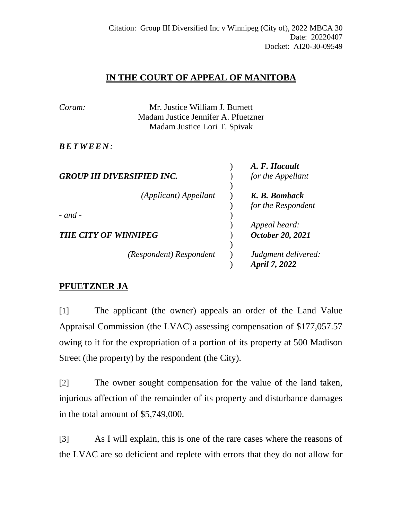## **IN THE COURT OF APPEAL OF MANITOBA**

| Coram:                            |                                     | Mr. Justice William J. Burnett |                     |  |
|-----------------------------------|-------------------------------------|--------------------------------|---------------------|--|
|                                   | Madam Justice Jennifer A. Pfuetzner |                                |                     |  |
|                                   | Madam Justice Lori T. Spivak        |                                |                     |  |
| <i>BETWEEN:</i>                   |                                     |                                |                     |  |
|                                   |                                     |                                | A. F. Hacault       |  |
| <b>GROUP III DIVERSIFIED INC.</b> |                                     |                                | for the Appellant   |  |
|                                   |                                     |                                |                     |  |
|                                   | (Applicant) Appellant               |                                | K. B. Bomback       |  |
|                                   |                                     |                                | for the Respondent  |  |
| $-$ and $-$                       |                                     |                                |                     |  |
|                                   |                                     |                                | Appeal heard:       |  |
| <b>THE CITY OF WINNIPEG</b>       |                                     |                                | October 20, 2021    |  |
|                                   |                                     |                                |                     |  |
|                                   | (Respondent) Respondent             |                                | Judgment delivered: |  |
|                                   |                                     |                                | April 7, 2022       |  |

## **PFUETZNER JA**

[1] The applicant (the owner) appeals an order of the Land Value Appraisal Commission (the LVAC) assessing compensation of \$177,057.57 owing to it for the expropriation of a portion of its property at 500 Madison Street (the property) by the respondent (the City).

[2] The owner sought compensation for the value of the land taken, injurious affection of the remainder of its property and disturbance damages in the total amount of \$5,749,000.

[3] As I will explain, this is one of the rare cases where the reasons of the LVAC are so deficient and replete with errors that they do not allow for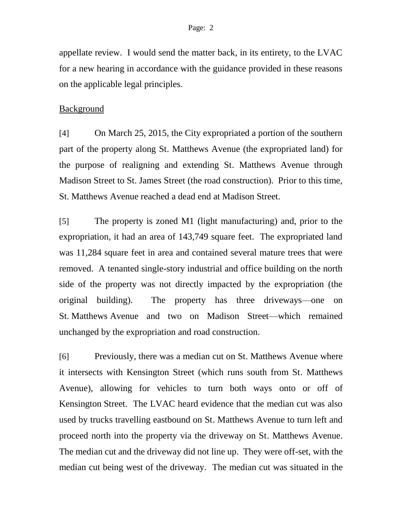appellate review. I would send the matter back, in its entirety, to the LVAC for a new hearing in accordance with the guidance provided in these reasons on the applicable legal principles.

#### Background

[4] On March 25, 2015, the City expropriated a portion of the southern part of the property along St. Matthews Avenue (the expropriated land) for the purpose of realigning and extending St. Matthews Avenue through Madison Street to St. James Street (the road construction). Prior to this time, St. Matthews Avenue reached a dead end at Madison Street.

[5] The property is zoned M1 (light manufacturing) and, prior to the expropriation, it had an area of 143,749 square feet. The expropriated land was 11,284 square feet in area and contained several mature trees that were removed. A tenanted single-story industrial and office building on the north side of the property was not directly impacted by the expropriation (the original building). The property has three driveways—one on St. Matthews Avenue and two on Madison Street—which remained unchanged by the expropriation and road construction.

[6] Previously, there was a median cut on St. Matthews Avenue where it intersects with Kensington Street (which runs south from St. Matthews Avenue), allowing for vehicles to turn both ways onto or off of Kensington Street. The LVAC heard evidence that the median cut was also used by trucks travelling eastbound on St. Matthews Avenue to turn left and proceed north into the property via the driveway on St. Matthews Avenue. The median cut and the driveway did not line up. They were off-set, with the median cut being west of the driveway. The median cut was situated in the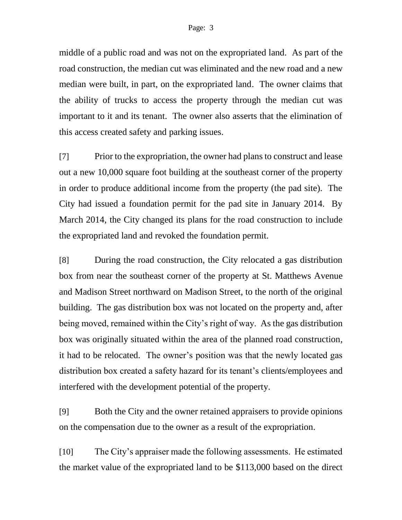middle of a public road and was not on the expropriated land. As part of the road construction, the median cut was eliminated and the new road and a new median were built, in part, on the expropriated land. The owner claims that the ability of trucks to access the property through the median cut was important to it and its tenant. The owner also asserts that the elimination of this access created safety and parking issues.

[7] Prior to the expropriation, the owner had plans to construct and lease out a new 10,000 square foot building at the southeast corner of the property in order to produce additional income from the property (the pad site). The City had issued a foundation permit for the pad site in January 2014. By March 2014, the City changed its plans for the road construction to include the expropriated land and revoked the foundation permit.

[8] During the road construction, the City relocated a gas distribution box from near the southeast corner of the property at St. Matthews Avenue and Madison Street northward on Madison Street, to the north of the original building. The gas distribution box was not located on the property and, after being moved, remained within the City's right of way. As the gas distribution box was originally situated within the area of the planned road construction, it had to be relocated. The owner's position was that the newly located gas distribution box created a safety hazard for its tenant's clients/employees and interfered with the development potential of the property.

[9] Both the City and the owner retained appraisers to provide opinions on the compensation due to the owner as a result of the expropriation.

[10] The City's appraiser made the following assessments. He estimated the market value of the expropriated land to be \$113,000 based on the direct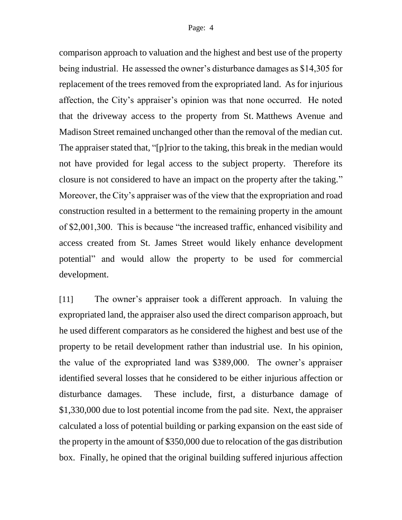comparison approach to valuation and the highest and best use of the property being industrial. He assessed the owner's disturbance damages as \$14,305 for replacement of the trees removed from the expropriated land. As for injurious affection, the City's appraiser's opinion was that none occurred. He noted that the driveway access to the property from St. Matthews Avenue and Madison Street remained unchanged other than the removal of the median cut. The appraiser stated that, "[p]rior to the taking, this break in the median would not have provided for legal access to the subject property. Therefore its closure is not considered to have an impact on the property after the taking." Moreover, the City's appraiser was of the view that the expropriation and road construction resulted in a betterment to the remaining property in the amount of \$2,001,300. This is because "the increased traffic, enhanced visibility and access created from St. James Street would likely enhance development potential" and would allow the property to be used for commercial development.

[11] The owner's appraiser took a different approach. In valuing the expropriated land, the appraiser also used the direct comparison approach, but he used different comparators as he considered the highest and best use of the property to be retail development rather than industrial use. In his opinion, the value of the expropriated land was \$389,000. The owner's appraiser identified several losses that he considered to be either injurious affection or disturbance damages. These include, first, a disturbance damage of \$1,330,000 due to lost potential income from the pad site. Next, the appraiser calculated a loss of potential building or parking expansion on the east side of the property in the amount of \$350,000 due to relocation of the gas distribution box. Finally, he opined that the original building suffered injurious affection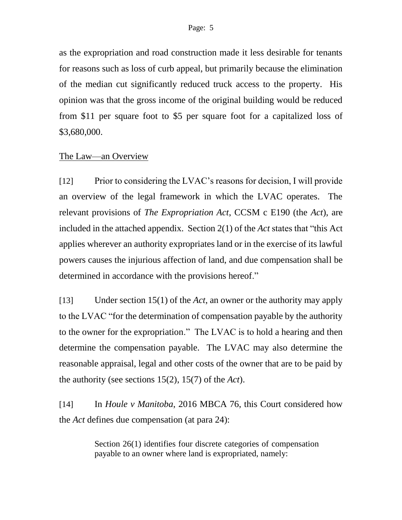as the expropriation and road construction made it less desirable for tenants for reasons such as loss of curb appeal, but primarily because the elimination of the median cut significantly reduced truck access to the property. His opinion was that the gross income of the original building would be reduced from \$11 per square foot to \$5 per square foot for a capitalized loss of \$3,680,000.

### The Law—an Overview

[12] Prior to considering the LVAC's reasons for decision, I will provide an overview of the legal framework in which the LVAC operates. The relevant provisions of *The Expropriation Act*, CCSM c E190 (the *Act*), are included in the attached appendix. Section 2(1) of the *Act* states that "this Act applies wherever an authority expropriates land or in the exercise of its lawful powers causes the injurious affection of land, and due compensation shall be determined in accordance with the provisions hereof."

[13] Under section 15(1) of the *Act*, an owner or the authority may apply to the LVAC "for the determination of compensation payable by the authority to the owner for the expropriation." The LVAC is to hold a hearing and then determine the compensation payable. The LVAC may also determine the reasonable appraisal, legal and other costs of the owner that are to be paid by the authority (see sections 15(2), 15(7) of the *Act*).

[14] In *Houle v Manitoba*, 2016 MBCA 76, this Court considered how the *Act* defines due compensation (at para 24):

> Section 26(1) identifies four discrete categories of compensation payable to an owner where land is expropriated, namely: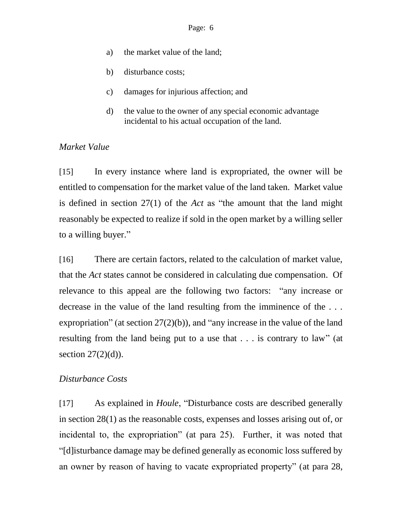- a) the market value of the land;
- b) disturbance costs;
- c) damages for injurious affection; and
- d) the value to the owner of any special economic advantage incidental to his actual occupation of the land.

### *Market Value*

[15] In every instance where land is expropriated, the owner will be entitled to compensation for the market value of the land taken. Market value is defined in section 27(1) of the *Act* as "the amount that the land might reasonably be expected to realize if sold in the open market by a willing seller to a willing buyer."

[16] There are certain factors, related to the calculation of market value, that the *Act* states cannot be considered in calculating due compensation. Of relevance to this appeal are the following two factors: "any increase or decrease in the value of the land resulting from the imminence of the . . . expropriation" (at section 27(2)(b)), and "any increase in the value of the land resulting from the land being put to a use that . . . is contrary to law" (at section  $27(2)(d)$ ).

### *Disturbance Costs*

[17] As explained in *Houle*, "Disturbance costs are described generally in section 28(1) as the reasonable costs, expenses and losses arising out of, or incidental to, the expropriation" (at para 25). Further, it was noted that "[d]isturbance damage may be defined generally as economic loss suffered by an owner by reason of having to vacate expropriated property" (at para 28,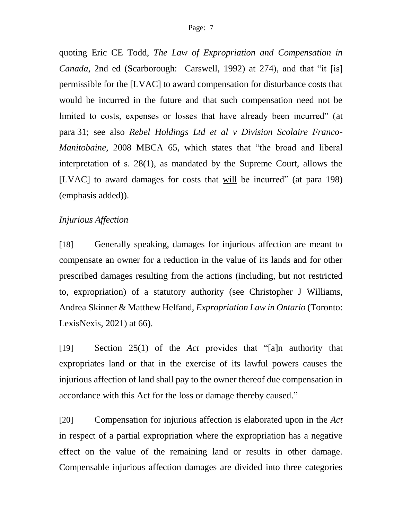quoting Eric CE Todd, *The Law of Expropriation and Compensation in Canada*, 2nd ed (Scarborough: Carswell, 1992) at 274), and that "it [is] permissible for the [LVAC] to award compensation for disturbance costs that would be incurred in the future and that such compensation need not be limited to costs, expenses or losses that have already been incurred" (at para 31; see also *Rebel Holdings Ltd et al v Division Scolaire Franco-Manitobaine*, 2008 MBCA 65, which states that "the broad and liberal interpretation of s. 28(1), as mandated by the Supreme Court, allows the [LVAC] to award damages for costs that will be incurred" (at para 198) (emphasis added)).

#### *Injurious Affection*

[18] Generally speaking, damages for injurious affection are meant to compensate an owner for a reduction in the value of its lands and for other prescribed damages resulting from the actions (including, but not restricted to, expropriation) of a statutory authority (see Christopher J Williams, Andrea Skinner & Matthew Helfand, *Expropriation Law in Ontario* (Toronto: LexisNexis, 2021) at 66).

[19] Section 25(1) of the *Act* provides that "[a]n authority that expropriates land or that in the exercise of its lawful powers causes the injurious affection of land shall pay to the owner thereof due compensation in accordance with this Act for the loss or damage thereby caused."

[20] Compensation for injurious affection is elaborated upon in the *Act* in respect of a partial expropriation where the expropriation has a negative effect on the value of the remaining land or results in other damage. Compensable injurious affection damages are divided into three categories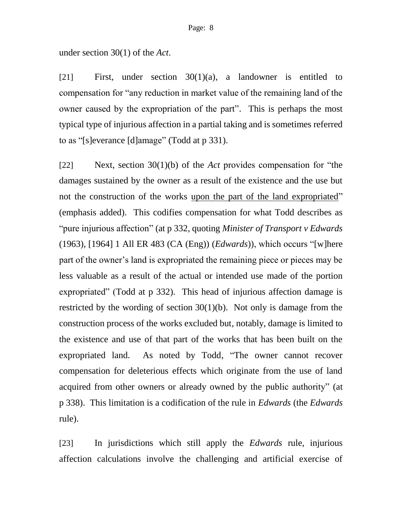under section 30(1) of the *Act*.

[21] First, under section 30(1)(a), a landowner is entitled to compensation for "any reduction in market value of the remaining land of the owner caused by the expropriation of the part". This is perhaps the most typical type of injurious affection in a partial taking and is sometimes referred to as "[s]everance [d]amage" (Todd at p 331).

[22] Next, section 30(1)(b) of the *Act* provides compensation for "the damages sustained by the owner as a result of the existence and the use but not the construction of the works upon the part of the land expropriated" (emphasis added). This codifies compensation for what Todd describes as "pure injurious affection" (at p 332, quoting *Minister of Transport v Edwards* (1963), [1964] 1 All ER 483 (CA (Eng)) (*Edwards*)), which occurs "[w]here part of the owner's land is expropriated the remaining piece or pieces may be less valuable as a result of the actual or intended use made of the portion expropriated" (Todd at p 332). This head of injurious affection damage is restricted by the wording of section  $30(1)(b)$ . Not only is damage from the construction process of the works excluded but, notably, damage is limited to the existence and use of that part of the works that has been built on the expropriated land. As noted by Todd, "The owner cannot recover compensation for deleterious effects which originate from the use of land acquired from other owners or already owned by the public authority" (at p 338). This limitation is a codification of the rule in *Edwards* (the *Edwards*  rule).

[23] In jurisdictions which still apply the *Edwards* rule, injurious affection calculations involve the challenging and artificial exercise of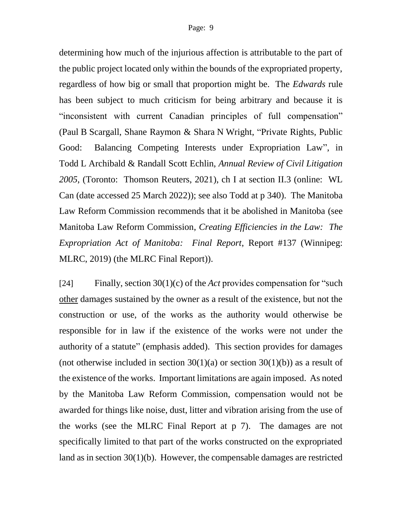determining how much of the injurious affection is attributable to the part of the public project located only within the bounds of the expropriated property, regardless of how big or small that proportion might be. The *Edwards* rule has been subject to much criticism for being arbitrary and because it is "inconsistent with current Canadian principles of full compensation" (Paul B Scargall, Shane Raymon & Shara N Wright, "Private Rights, Public Good: Balancing Competing Interests under Expropriation Law", in Todd L Archibald & Randall Scott Echlin, *Annual Review of Civil Litigation 2005*, (Toronto: Thomson Reuters, 2021), ch I at section II.3 (online: WL Can (date accessed 25 March 2022)); see also Todd at p 340). The Manitoba Law Reform Commission recommends that it be abolished in Manitoba (see Manitoba Law Reform Commission, *Creating Efficiencies in the Law: The Expropriation Act of Manitoba: Final Report*, Report #137 (Winnipeg: MLRC, 2019) (the MLRC Final Report)).

[24] Finally, section 30(1)(c) of the *Act* provides compensation for "such other damages sustained by the owner as a result of the existence, but not the construction or use, of the works as the authority would otherwise be responsible for in law if the existence of the works were not under the authority of a statute" (emphasis added). This section provides for damages (not otherwise included in section  $30(1)(a)$  or section  $30(1)(b)$ ) as a result of the existence of the works. Important limitations are again imposed. As noted by the Manitoba Law Reform Commission, compensation would not be awarded for things like noise, dust, litter and vibration arising from the use of the works (see the MLRC Final Report at p 7). The damages are not specifically limited to that part of the works constructed on the expropriated land as in section 30(1)(b). However, the compensable damages are restricted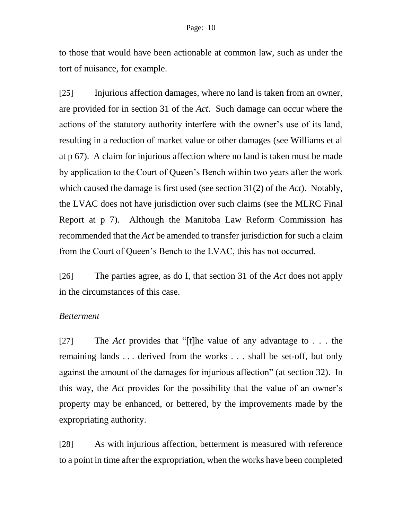to those that would have been actionable at common law, such as under the tort of nuisance, for example.

[25] Injurious affection damages, where no land is taken from an owner, are provided for in section 31 of the *Act*. Such damage can occur where the actions of the statutory authority interfere with the owner's use of its land, resulting in a reduction of market value or other damages (see Williams et al at p 67). A claim for injurious affection where no land is taken must be made by application to the Court of Queen's Bench within two years after the work which caused the damage is first used (see section 31(2) of the *Act*). Notably, the LVAC does not have jurisdiction over such claims (see the MLRC Final Report at p 7). Although the Manitoba Law Reform Commission has recommended that the *Act* be amended to transfer jurisdiction for such a claim from the Court of Queen's Bench to the LVAC, this has not occurred.

[26] The parties agree, as do I, that section 31 of the *Act* does not apply in the circumstances of this case.

#### *Betterment*

[27] The *Act* provides that "[t]he value of any advantage to . . . the remaining lands . . . derived from the works . . . shall be set-off, but only against the amount of the damages for injurious affection" (at section 32). In this way, the *Act* provides for the possibility that the value of an owner's property may be enhanced, or bettered, by the improvements made by the expropriating authority.

[28] As with injurious affection, betterment is measured with reference to a point in time after the expropriation, when the works have been completed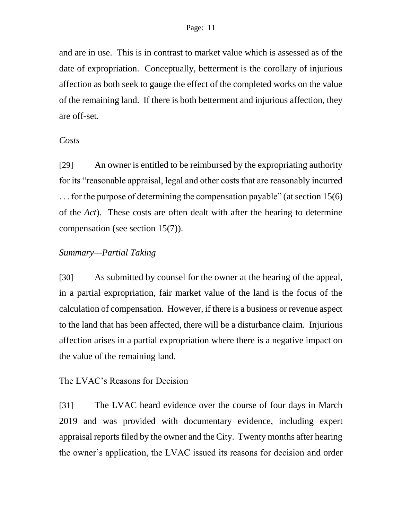and are in use. This is in contrast to market value which is assessed as of the date of expropriation. Conceptually, betterment is the corollary of injurious affection as both seek to gauge the effect of the completed works on the value of the remaining land. If there is both betterment and injurious affection, they are off-set.

#### *Costs*

[29] An owner is entitled to be reimbursed by the expropriating authority for its "reasonable appraisal, legal and other costs that are reasonably incurred . . . for the purpose of determining the compensation payable" (at section 15(6) of the *Act*). These costs are often dealt with after the hearing to determine compensation (see section 15(7)).

#### *Summary—Partial Taking*

[30] As submitted by counsel for the owner at the hearing of the appeal, in a partial expropriation, fair market value of the land is the focus of the calculation of compensation. However, if there is a business or revenue aspect to the land that has been affected, there will be a disturbance claim. Injurious affection arises in a partial expropriation where there is a negative impact on the value of the remaining land.

### The LVAC's Reasons for Decision

[31] The LVAC heard evidence over the course of four days in March 2019 and was provided with documentary evidence, including expert appraisal reports filed by the owner and the City. Twenty months after hearing the owner's application, the LVAC issued its reasons for decision and order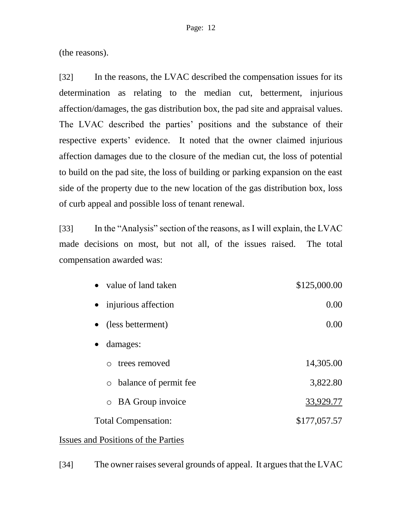(the reasons).

[32] In the reasons, the LVAC described the compensation issues for its determination as relating to the median cut, betterment, injurious affection/damages, the gas distribution box, the pad site and appraisal values. The LVAC described the parties' positions and the substance of their respective experts' evidence. It noted that the owner claimed injurious affection damages due to the closure of the median cut, the loss of potential to build on the pad site, the loss of building or parking expansion on the east side of the property due to the new location of the gas distribution box, loss of curb appeal and possible loss of tenant renewal.

[33] In the "Analysis" section of the reasons, as I will explain, the LVAC made decisions on most, but not all, of the issues raised. The total compensation awarded was:

| • value of land taken               | \$125,000.00 |
|-------------------------------------|--------------|
| • injurious affection               | 0.00         |
| (less betterment)<br>$\bullet$      | 0.00         |
| damages:<br>$\bullet$               |              |
| trees removed<br>$\bigcirc$         | 14,305.00    |
| balance of permit fee<br>$\circ$    | 3,822.80     |
| <b>BA</b> Group invoice<br>$\circ$  | 33,929.77    |
| <b>Total Compensation:</b>          | \$177,057.57 |
| Issues and Positions of the Parties |              |

[34] The owner raises several grounds of appeal. It argues that the LVAC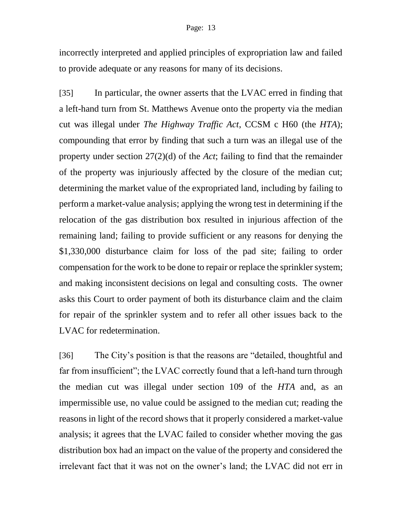#### Page: 13

incorrectly interpreted and applied principles of expropriation law and failed to provide adequate or any reasons for many of its decisions.

[35] In particular, the owner asserts that the LVAC erred in finding that a left-hand turn from St. Matthews Avenue onto the property via the median cut was illegal under *The Highway Traffic Act*, CCSM c H60 (the *HTA*); compounding that error by finding that such a turn was an illegal use of the property under section 27(2)(d) of the *Act*; failing to find that the remainder of the property was injuriously affected by the closure of the median cut; determining the market value of the expropriated land, including by failing to perform a market-value analysis; applying the wrong test in determining if the relocation of the gas distribution box resulted in injurious affection of the remaining land; failing to provide sufficient or any reasons for denying the \$1,330,000 disturbance claim for loss of the pad site; failing to order compensation for the work to be done to repair or replace the sprinkler system; and making inconsistent decisions on legal and consulting costs. The owner asks this Court to order payment of both its disturbance claim and the claim for repair of the sprinkler system and to refer all other issues back to the LVAC for redetermination.

[36] The City's position is that the reasons are "detailed, thoughtful and far from insufficient"; the LVAC correctly found that a left-hand turn through the median cut was illegal under section 109 of the *HTA* and, as an impermissible use, no value could be assigned to the median cut; reading the reasons in light of the record shows that it properly considered a market-value analysis; it agrees that the LVAC failed to consider whether moving the gas distribution box had an impact on the value of the property and considered the irrelevant fact that it was not on the owner's land; the LVAC did not err in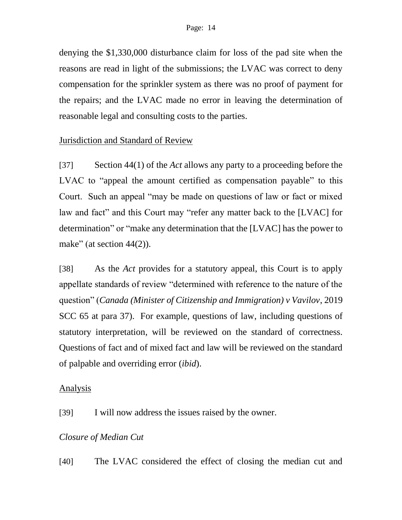denying the \$1,330,000 disturbance claim for loss of the pad site when the reasons are read in light of the submissions; the LVAC was correct to deny compensation for the sprinkler system as there was no proof of payment for the repairs; and the LVAC made no error in leaving the determination of reasonable legal and consulting costs to the parties.

### Jurisdiction and Standard of Review

[37] Section 44(1) of the *Act* allows any party to a proceeding before the LVAC to "appeal the amount certified as compensation payable" to this Court. Such an appeal "may be made on questions of law or fact or mixed law and fact" and this Court may "refer any matter back to the [LVAC] for determination" or "make any determination that the [LVAC] has the power to make" (at section  $44(2)$ ).

[38] As the *Act* provides for a statutory appeal, this Court is to apply appellate standards of review "determined with reference to the nature of the question" (*Canada (Minister of Citizenship and Immigration) v Vavilov*, 2019 SCC 65 at para 37). For example, questions of law, including questions of statutory interpretation, will be reviewed on the standard of correctness. Questions of fact and of mixed fact and law will be reviewed on the standard of palpable and overriding error (*ibid*).

### Analysis

[39] I will now address the issues raised by the owner.

### *Closure of Median Cut*

[40] The LVAC considered the effect of closing the median cut and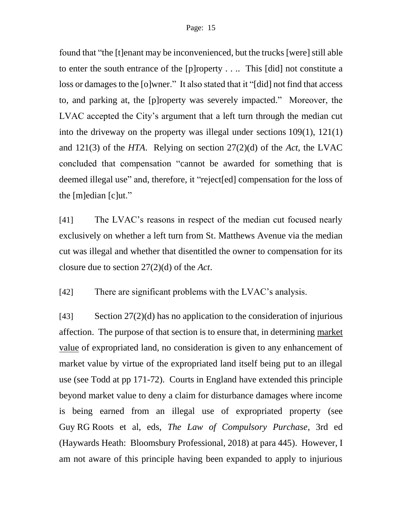found that "the [t]enant may be inconvenienced, but the trucks [were] still able to enter the south entrance of the [p]roperty . . .. This [did] not constitute a loss or damages to the [o]wner." It also stated that it "[did] not find that access to, and parking at, the [p]roperty was severely impacted." Moreover, the LVAC accepted the City's argument that a left turn through the median cut into the driveway on the property was illegal under sections 109(1), 121(1) and 121(3) of the *HTA*. Relying on section 27(2)(d) of the *Act*, the LVAC concluded that compensation "cannot be awarded for something that is deemed illegal use" and, therefore, it "reject[ed] compensation for the loss of the [m]edian [c]ut."

[41] The LVAC's reasons in respect of the median cut focused nearly exclusively on whether a left turn from St. Matthews Avenue via the median cut was illegal and whether that disentitled the owner to compensation for its closure due to section 27(2)(d) of the *Act*.

[42] There are significant problems with the LVAC's analysis.

[43] Section 27(2)(d) has no application to the consideration of injurious affection. The purpose of that section is to ensure that, in determining market value of expropriated land, no consideration is given to any enhancement of market value by virtue of the expropriated land itself being put to an illegal use (see Todd at pp 171-72). Courts in England have extended this principle beyond market value to deny a claim for disturbance damages where income is being earned from an illegal use of expropriated property (see Guy RG Roots et al, eds, *The Law of Compulsory Purchase*, 3rd ed (Haywards Heath: Bloomsbury Professional, 2018) at para 445). However, I am not aware of this principle having been expanded to apply to injurious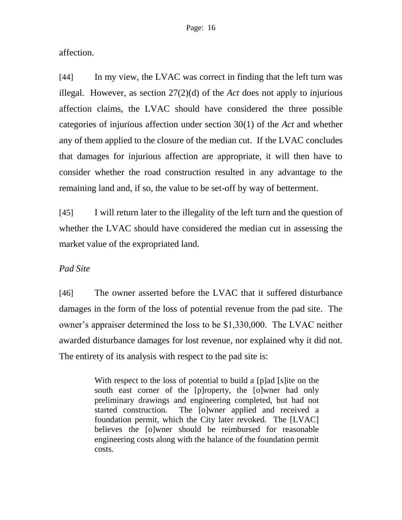affection.

[44] In my view, the LVAC was correct in finding that the left turn was illegal. However, as section 27(2)(d) of the *Act* does not apply to injurious affection claims, the LVAC should have considered the three possible categories of injurious affection under section 30(1) of the *Act* and whether any of them applied to the closure of the median cut. If the LVAC concludes that damages for injurious affection are appropriate, it will then have to consider whether the road construction resulted in any advantage to the remaining land and, if so, the value to be set-off by way of betterment.

[45] I will return later to the illegality of the left turn and the question of whether the LVAC should have considered the median cut in assessing the market value of the expropriated land.

## *Pad Site*

[46] The owner asserted before the LVAC that it suffered disturbance damages in the form of the loss of potential revenue from the pad site. The owner's appraiser determined the loss to be \$1,330,000. The LVAC neither awarded disturbance damages for lost revenue, nor explained why it did not. The entirety of its analysis with respect to the pad site is:

> With respect to the loss of potential to build a [p]ad [s]ite on the south east corner of the [p]roperty, the [o]wner had only preliminary drawings and engineering completed, but had not started construction. The [o]wner applied and received a foundation permit, which the City later revoked. The [LVAC] believes the [o]wner should be reimbursed for reasonable engineering costs along with the balance of the foundation permit costs.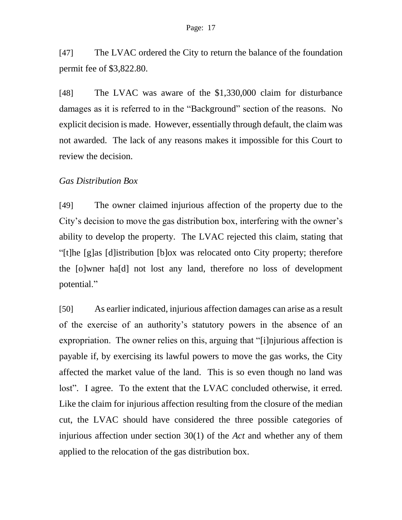[47] The LVAC ordered the City to return the balance of the foundation permit fee of \$3,822.80.

[48] The LVAC was aware of the \$1,330,000 claim for disturbance damages as it is referred to in the "Background" section of the reasons. No explicit decision is made. However, essentially through default, the claim was not awarded. The lack of any reasons makes it impossible for this Court to review the decision.

### *Gas Distribution Box*

[49] The owner claimed injurious affection of the property due to the City's decision to move the gas distribution box, interfering with the owner's ability to develop the property. The LVAC rejected this claim, stating that "[t]he [g]as [d]istribution [b]ox was relocated onto City property; therefore the [o]wner ha[d] not lost any land, therefore no loss of development potential."

[50] As earlier indicated, injurious affection damages can arise as a result of the exercise of an authority's statutory powers in the absence of an expropriation. The owner relies on this, arguing that "[i]njurious affection is payable if, by exercising its lawful powers to move the gas works, the City affected the market value of the land. This is so even though no land was lost". I agree. To the extent that the LVAC concluded otherwise, it erred. Like the claim for injurious affection resulting from the closure of the median cut, the LVAC should have considered the three possible categories of injurious affection under section 30(1) of the *Act* and whether any of them applied to the relocation of the gas distribution box.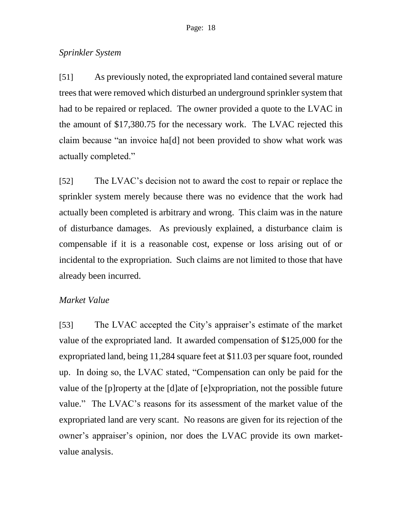### *Sprinkler System*

[51] As previously noted, the expropriated land contained several mature trees that were removed which disturbed an underground sprinkler system that had to be repaired or replaced. The owner provided a quote to the LVAC in the amount of \$17,380.75 for the necessary work. The LVAC rejected this claim because "an invoice ha[d] not been provided to show what work was actually completed."

[52] The LVAC's decision not to award the cost to repair or replace the sprinkler system merely because there was no evidence that the work had actually been completed is arbitrary and wrong. This claim was in the nature of disturbance damages. As previously explained, a disturbance claim is compensable if it is a reasonable cost, expense or loss arising out of or incidental to the expropriation. Such claims are not limited to those that have already been incurred.

### *Market Value*

[53] The LVAC accepted the City's appraiser's estimate of the market value of the expropriated land. It awarded compensation of \$125,000 for the expropriated land, being 11,284 square feet at \$11.03 per square foot, rounded up. In doing so, the LVAC stated, "Compensation can only be paid for the value of the [p]roperty at the [d]ate of [e]xpropriation, not the possible future value." The LVAC's reasons for its assessment of the market value of the expropriated land are very scant. No reasons are given for its rejection of the owner's appraiser's opinion, nor does the LVAC provide its own marketvalue analysis.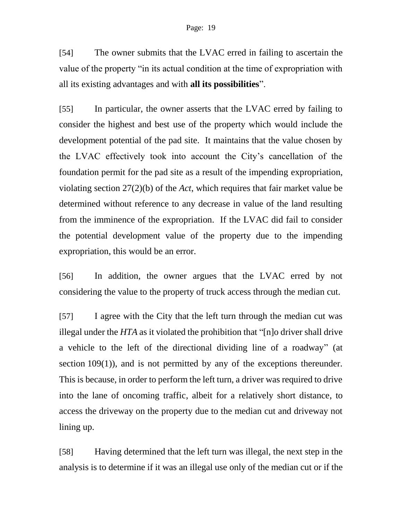[54] The owner submits that the LVAC erred in failing to ascertain the value of the property "in its actual condition at the time of expropriation with all its existing advantages and with **all its possibilities**".

[55] In particular, the owner asserts that the LVAC erred by failing to consider the highest and best use of the property which would include the development potential of the pad site. It maintains that the value chosen by the LVAC effectively took into account the City's cancellation of the foundation permit for the pad site as a result of the impending expropriation, violating section 27(2)(b) of the *Act*, which requires that fair market value be determined without reference to any decrease in value of the land resulting from the imminence of the expropriation. If the LVAC did fail to consider the potential development value of the property due to the impending expropriation, this would be an error.

[56] In addition, the owner argues that the LVAC erred by not considering the value to the property of truck access through the median cut.

[57] I agree with the City that the left turn through the median cut was illegal under the *HTA* as it violated the prohibition that "[n]o driver shall drive a vehicle to the left of the directional dividing line of a roadway" (at section 109(1)), and is not permitted by any of the exceptions thereunder. This is because, in order to perform the left turn, a driver was required to drive into the lane of oncoming traffic, albeit for a relatively short distance, to access the driveway on the property due to the median cut and driveway not lining up.

[58] Having determined that the left turn was illegal, the next step in the analysis is to determine if it was an illegal use only of the median cut or if the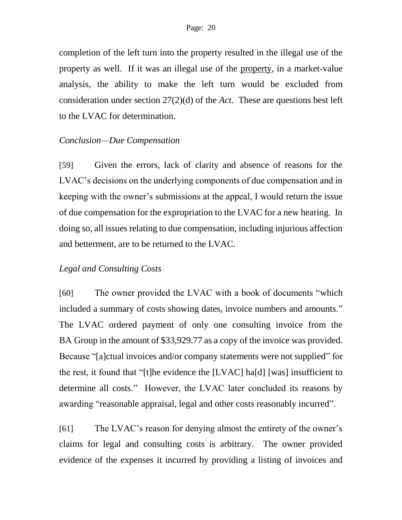completion of the left turn into the property resulted in the illegal use of the property as well. If it was an illegal use of the property, in a market-value analysis, the ability to make the left turn would be excluded from consideration under section 27(2)(d) of the *Act*. These are questions best left to the LVAC for determination.

### *Conclusion—Due Compensation*

[59] Given the errors, lack of clarity and absence of reasons for the LVAC's decisions on the underlying components of due compensation and in keeping with the owner's submissions at the appeal, I would return the issue of due compensation for the expropriation to the LVAC for a new hearing. In doing so, all issues relating to due compensation, including injurious affection and betterment, are to be returned to the LVAC.

## *Legal and Consulting Costs*

[60] The owner provided the LVAC with a book of documents "which included a summary of costs showing dates, invoice numbers and amounts." The LVAC ordered payment of only one consulting invoice from the BA Group in the amount of \$33,929.77 as a copy of the invoice was provided. Because "[a]ctual invoices and/or company statements were not supplied" for the rest, it found that "[t]he evidence the [LVAC] ha[d] [was] insufficient to determine all costs." However, the LVAC later concluded its reasons by awarding "reasonable appraisal, legal and other costs reasonably incurred".

[61] The LVAC's reason for denying almost the entirety of the owner's claims for legal and consulting costs is arbitrary. The owner provided evidence of the expenses it incurred by providing a listing of invoices and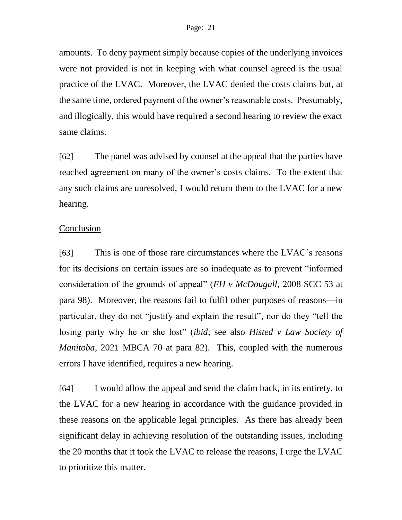amounts. To deny payment simply because copies of the underlying invoices were not provided is not in keeping with what counsel agreed is the usual practice of the LVAC. Moreover, the LVAC denied the costs claims but, at the same time, ordered payment of the owner's reasonable costs. Presumably, and illogically, this would have required a second hearing to review the exact same claims.

[62] The panel was advised by counsel at the appeal that the parties have reached agreement on many of the owner's costs claims. To the extent that any such claims are unresolved, I would return them to the LVAC for a new hearing.

### Conclusion

[63] This is one of those rare circumstances where the LVAC's reasons for its decisions on certain issues are so inadequate as to prevent "informed consideration of the grounds of appeal" (*FH v McDougall*, 2008 SCC 53 at para 98). Moreover, the reasons fail to fulfil other purposes of reasons—in particular, they do not "justify and explain the result", nor do they "tell the losing party why he or she lost" (*ibid*; see also *Histed v Law Society of Manitoba*, 2021 MBCA 70 at para 82). This, coupled with the numerous errors I have identified, requires a new hearing.

[64] I would allow the appeal and send the claim back, in its entirety, to the LVAC for a new hearing in accordance with the guidance provided in these reasons on the applicable legal principles. As there has already been significant delay in achieving resolution of the outstanding issues, including the 20 months that it took the LVAC to release the reasons, I urge the LVAC to prioritize this matter.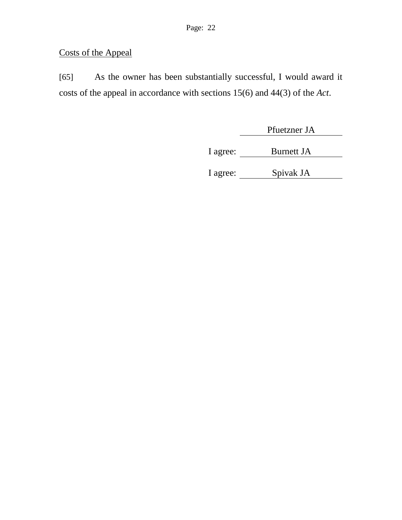# Costs of the Appeal

[65] As the owner has been substantially successful, I would award it costs of the appeal in accordance with sections 15(6) and 44(3) of the *Act*.

Pfuetzner JA

I agree: Burnett JA

I agree: Spivak JA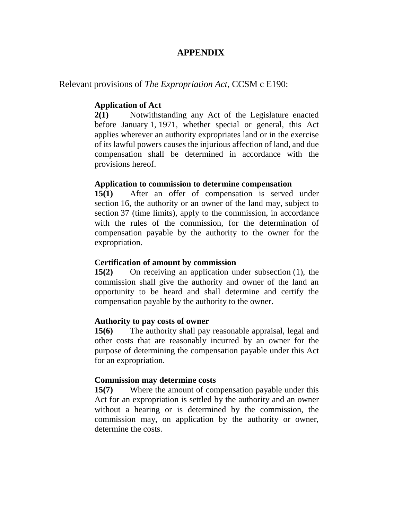### **APPENDIX**

#### Relevant provisions of *The Expropriation Act*, CCSM c E190:

#### **Application of Act**

**[2\(1\)](https://web2.gov.mb.ca/laws/statutes/ccsm/e190f.php#2)** Notwithstanding any Act of the Legislature enacted before January 1, 1971, whether special or general, this Act applies wherever an authority expropriates land or in the exercise of its lawful powers causes the injurious affection of land, and due compensation shall be determined in accordance with the provisions hereof.

#### **Application to commission to determine compensation**

**[15\(1\)](https://web2.gov.mb.ca/laws/statutes/ccsm/e190f.php#15)** After an offer of compensation is served under section 16, the authority or an owner of the land may, subject to section 37 (time limits), apply to the commission, in accordance with the rules of the commission, for the determination of compensation payable by the authority to the owner for the expropriation.

#### **Certification of amount by commission**

**[15\(2\)](https://web2.gov.mb.ca/laws/statutes/ccsm/e190f.php#15(2))** On receiving an application under subsection (1), the commission shall give the authority and owner of the land an opportunity to be heard and shall determine and certify the compensation payable by the authority to the owner.

#### **Authority to pay costs of owner**

**[15\(6\)](https://web2.gov.mb.ca/laws/statutes/ccsm/e190f.php#15(6))** The authority shall pay reasonable appraisal, legal and other costs that are reasonably incurred by an owner for the purpose of determining the compensation payable under this Act for an expropriation.

#### **Commission may determine costs**

**[15\(7\)](https://web2.gov.mb.ca/laws/statutes/ccsm/e190f.php#15(7))** Where the amount of compensation payable under this Act for an expropriation is settled by the authority and an owner without a hearing or is determined by the commission, the commission may, on application by the authority or owner, determine the costs.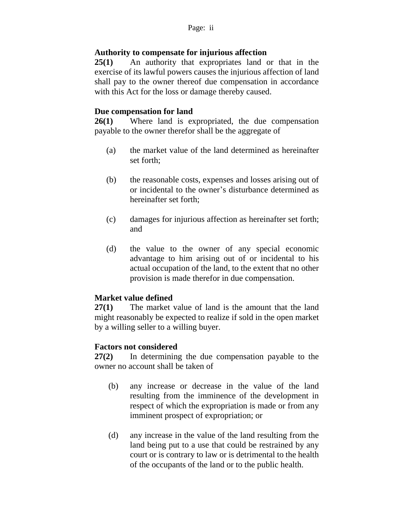### **Authority to compensate for injurious affection**

**[25\(1\)](https://web2.gov.mb.ca/laws/statutes/ccsm/e190f.php#25)** An authority that expropriates land or that in the exercise of its lawful powers causes the injurious affection of land shall pay to the owner thereof due compensation in accordance with this Act for the loss or damage thereby caused.

#### **Due compensation for land**

**[26\(1\)](https://web2.gov.mb.ca/laws/statutes/ccsm/e190f.php#26)** Where land is expropriated, the due compensation payable to the owner therefor shall be the aggregate of

- (a) the market value of the land determined as hereinafter set forth;
- (b) the reasonable costs, expenses and losses arising out of or incidental to the owner's disturbance determined as hereinafter set forth;
- (c) damages for injurious affection as hereinafter set forth; and
- (d) the value to the owner of any special economic advantage to him arising out of or incidental to his actual occupation of the land, to the extent that no other provision is made therefor in due compensation.

### **Market value defined**

**[27\(1\)](https://web2.gov.mb.ca/laws/statutes/ccsm/e190f.php#27)** The market value of land is the amount that the land might reasonably be expected to realize if sold in the open market by a willing seller to a willing buyer.

### **Factors not considered**

**[27\(2\)](https://web2.gov.mb.ca/laws/statutes/ccsm/e190f.php#27(2))** In determining the due compensation payable to the owner no account shall be taken of

- (b) any increase or decrease in the value of the land resulting from the imminence of the development in respect of which the expropriation is made or from any imminent prospect of expropriation; or
- (d) any increase in the value of the land resulting from the land being put to a use that could be restrained by any court or is contrary to law or is detrimental to the health of the occupants of the land or to the public health.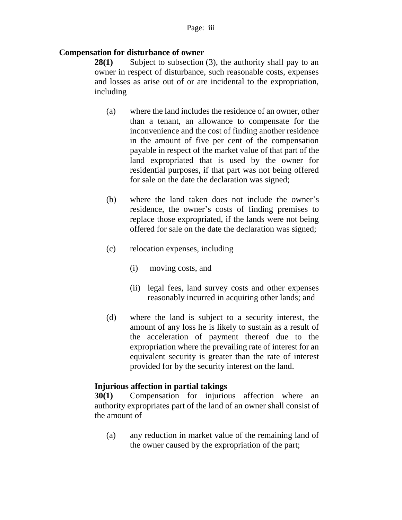#### **Compensation for disturbance of owner**

**[28\(1\)](https://web2.gov.mb.ca/laws/statutes/ccsm/e190f.php#28)** Subject to subsection (3), the authority shall pay to an owner in respect of disturbance, such reasonable costs, expenses and losses as arise out of or are incidental to the expropriation, including

- (a) where the land includes the residence of an owner, other than a tenant, an allowance to compensate for the inconvenience and the cost of finding another residence in the amount of five per cent of the compensation payable in respect of the market value of that part of the land expropriated that is used by the owner for residential purposes, if that part was not being offered for sale on the date the declaration was signed;
- (b) where the land taken does not include the owner's residence, the owner's costs of finding premises to replace those expropriated, if the lands were not being offered for sale on the date the declaration was signed;
- (c) relocation expenses, including
	- (i) moving costs, and
	- (ii) legal fees, land survey costs and other expenses reasonably incurred in acquiring other lands; and
- (d) where the land is subject to a security interest, the amount of any loss he is likely to sustain as a result of the acceleration of payment thereof due to the expropriation where the prevailing rate of interest for an equivalent security is greater than the rate of interest provided for by the security interest on the land.

#### **Injurious affection in partial takings**

**[30\(1\)](https://web2.gov.mb.ca/laws/statutes/ccsm/e190f.php#30)** Compensation for injurious affection where an authority expropriates part of the land of an owner shall consist of the amount of

(a) any reduction in market value of the remaining land of the owner caused by the expropriation of the part;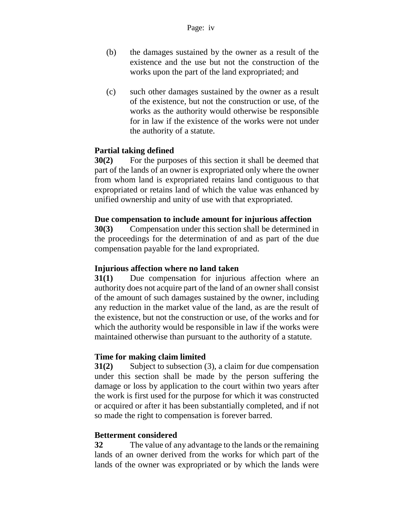- (b) the damages sustained by the owner as a result of the existence and the use but not the construction of the works upon the part of the land expropriated; and
- (c) such other damages sustained by the owner as a result of the existence, but not the construction or use, of the works as the authority would otherwise be responsible for in law if the existence of the works were not under the authority of a statute.

### **Partial taking defined**

**[30\(2\)](https://web2.gov.mb.ca/laws/statutes/ccsm/e190f.php#30(2))** For the purposes of this section it shall be deemed that part of the lands of an owner is expropriated only where the owner from whom land is expropriated retains land contiguous to that expropriated or retains land of which the value was enhanced by unified ownership and unity of use with that expropriated.

#### **Due compensation to include amount for injurious affection**

**[30\(3\)](https://web2.gov.mb.ca/laws/statutes/ccsm/e190f.php#30(3))** Compensation under this section shall be determined in the proceedings for the determination of and as part of the due compensation payable for the land expropriated.

#### **Injurious affection where no land taken**

**[31\(1\)](https://web2.gov.mb.ca/laws/statutes/ccsm/e190f.php#31)** Due compensation for injurious affection where an authority does not acquire part of the land of an owner shall consist of the amount of such damages sustained by the owner, including any reduction in the market value of the land, as are the result of the existence, but not the construction or use, of the works and for which the authority would be responsible in law if the works were maintained otherwise than pursuant to the authority of a statute.

### **Time for making claim limited**

**[31\(2\)](https://web2.gov.mb.ca/laws/statutes/ccsm/e190f.php#31(2))** Subject to subsection (3), a claim for due compensation under this section shall be made by the person suffering the damage or loss by application to the court within two years after the work is first used for the purpose for which it was constructed or acquired or after it has been substantially completed, and if not so made the right to compensation is forever barred.

#### **Betterment considered**

**[32](https://web2.gov.mb.ca/laws/statutes/ccsm/e190f.php#32)** The value of any advantage to the lands or the remaining lands of an owner derived from the works for which part of the lands of the owner was expropriated or by which the lands were